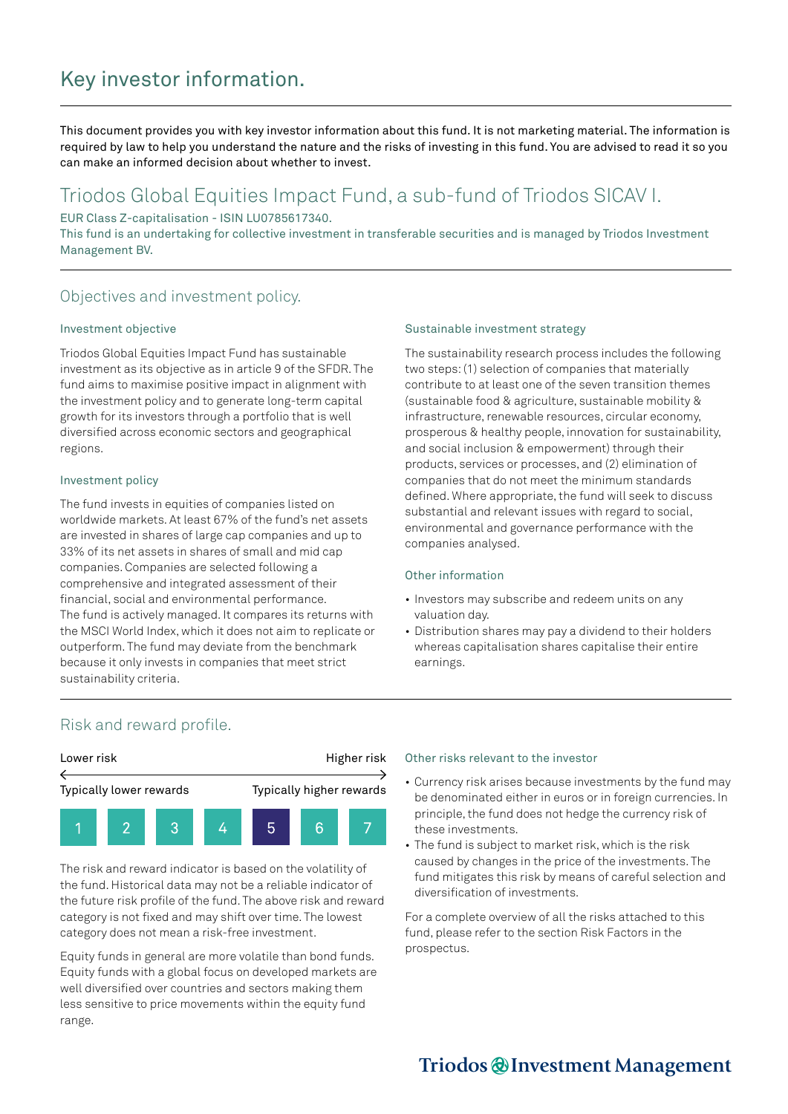# Key investor information.

This document provides you with key investor information about this fund. It is not marketing material. The information is required by law to help you understand the nature and the risks of investing in this fund. You are advised to read it so you can make an informed decision about whether to invest.

## Triodos Global Equities Impact Fund, a sub-fund of Triodos SICAV I.

EUR Class Z-capitalisation - ISIN LU0785617340.

This fund is an undertaking for collective investment in transferable securities and is managed by Triodos Investment Management BV.

### Objectives and investment policy.

#### Investment objective

Triodos Global Equities Impact Fund has sustainable investment as its objective as in article 9 of the SFDR. The fund aims to maximise positive impact in alignment with the investment policy and to generate long-term capital growth for its investors through a portfolio that is well diversified across economic sectors and geographical regions.

#### Investment policy

The fund invests in equities of companies listed on worldwide markets. At least 67% of the fund's net assets are invested in shares of large cap companies and up to 33% of its net assets in shares of small and mid cap companies. Companies are selected following a comprehensive and integrated assessment of their financial, social and environmental performance. The fund is actively managed. It compares its returns with the MSCI World Index, which it does not aim to replicate or outperform. The fund may deviate from the benchmark because it only invests in companies that meet strict sustainability criteria.

#### Sustainable investment strategy

The sustainability research process includes the following two steps: (1) selection of companies that materially contribute to at least one of the seven transition themes (sustainable food & agriculture, sustainable mobility & infrastructure, renewable resources, circular economy, prosperous & healthy people, innovation for sustainability, and social inclusion & empowerment) through their products, services or processes, and (2) elimination of companies that do not meet the minimum standards defined. Where appropriate, the fund will seek to discuss substantial and relevant issues with regard to social, environmental and governance performance with the companies analysed.

#### Other information

- Investors may subscribe and redeem units on any valuation day.
- Distribution shares may pay a dividend to their holders whereas capitalisation shares capitalise their entire earnings.

### Risk and reward profile.



The risk and reward indicator is based on the volatility of the fund. Historical data may not be a reliable indicator of the future risk profile of the fund. The above risk and reward category is not fixed and may shift over time. The lowest category does not mean a risk-free investment.

Equity funds in general are more volatile than bond funds. Equity funds with a global focus on developed markets are well diversified over countries and sectors making them less sensitive to price movements within the equity fund range.

#### Other risks relevant to the investor

- Currency risk arises because investments by the fund may be denominated either in euros or in foreign currencies. In principle, the fund does not hedge the currency risk of these investments.
- The fund is subject to market risk, which is the risk caused by changes in the price of the investments. The fund mitigates this risk by means of careful selection and diversification of investments.

For a complete overview of all the risks attached to this fund, please refer to the section Risk Factors in the prospectus.

## Triodos @ Investment Management